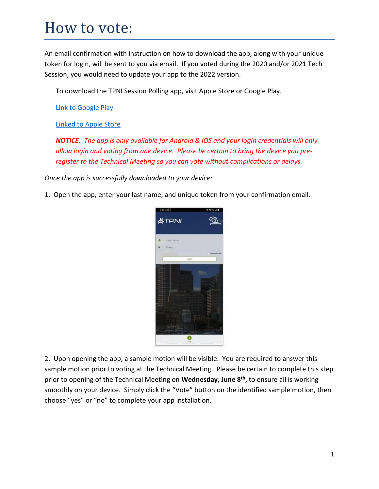## How to vote:

An email confirmation with instruction on how to download the app, along with your unique token for login, will be sent to you via email. If you voted during the 2020 and/or 2021 Tech Session, you would need to update your app to the 2022 version.

To download the TPNI Session Polling app, visit Apple Store or Google Play.

[Link to Google Play](https://play.google.com/store/apps/details?id=com.tpni.sessionpolling)

[Linked to Apple Store](https://apps.apple.com/us/app/tpni-session-polling/id1511134059)

*NOTICE: The app is only available for Android & iOS and your login credentials will only allow login and voting from one device. Please be certain to bring the device you preregister to the Technical Meeting so you can vote without complications or delays.*

*Once the app is successfully downloaded to your device:*

1. Open the app, enter your last name, and unique token from your confirmation email.



2. Upon opening the app, a sample motion will be visible. You are required to answer this sample motion prior to voting at the Technical Meeting. Please be certain to complete this step prior to opening of the Technical Meeting on **Wednesday, June 8th**, to ensure all is working smoothly on your device. Simply click the "Vote" button on the identified sample motion, then choose "yes" or "no" to complete your app installation.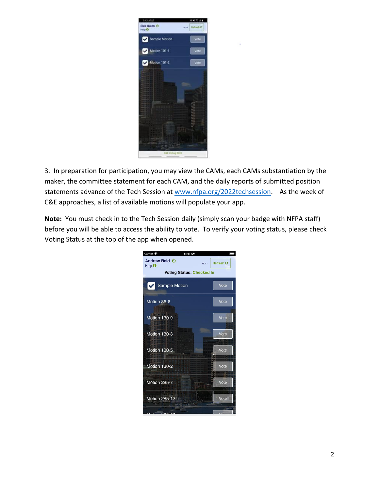

3. In preparation for participation, you may view the CAMs, each CAMs substantiation by the maker, the committee statement for each CAM, and the daily reports of submitted position statements advance of the Tech Session at [www.nfpa.org/2022techsession.](http://www.nfpa.org/2022techsession) As the week of C&E approaches, a list of available motions will populate your app.

**Note:** You must check in to the Tech Session daily (simply scan your badge with NFPA staff) before you will be able to access the ability to vote. To verify your voting status, please check Voting Status at the top of the app when opened.